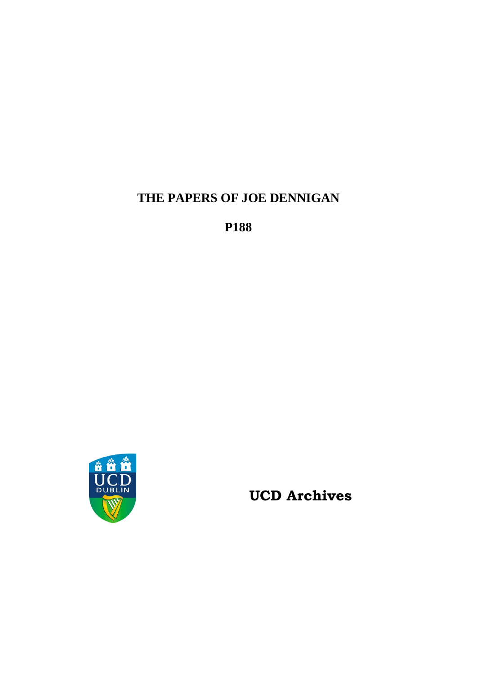**THE PAPERS OF JOE DENNIGAN**

**P188**



**UCD Archives**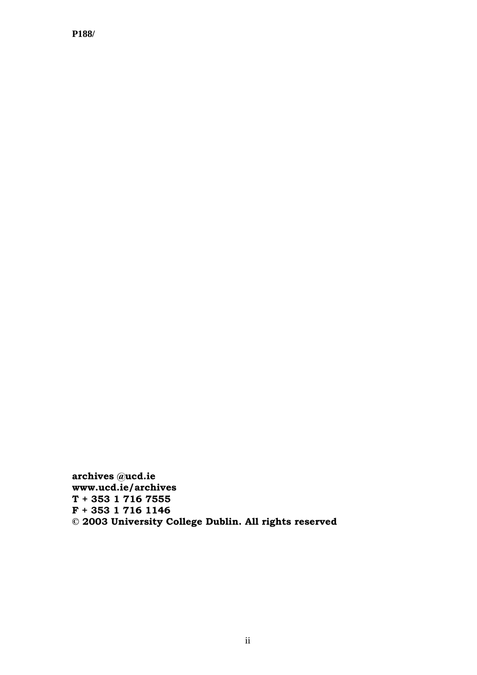**archives @ucd.ie www.ucd.ie/archives T + 353 1 716 7555 F + 353 1 716 1146 © 2003 University College Dublin. All rights reserved**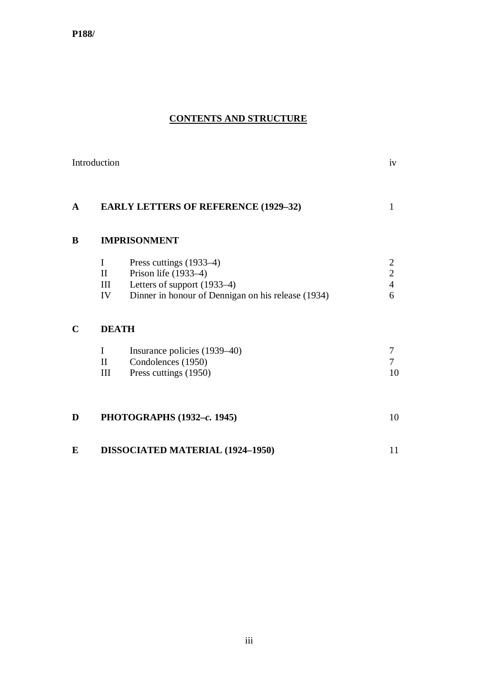# **CONTENTS AND STRUCTURE**

|              | Introduction                             |                                                                                                                                      | iv                                                      |
|--------------|------------------------------------------|--------------------------------------------------------------------------------------------------------------------------------------|---------------------------------------------------------|
| $\mathbf{A}$ |                                          | <b>EARLY LETTERS OF REFERENCE (1929-32)</b>                                                                                          | $\mathbf{1}$                                            |
| B            | <b>IMPRISONMENT</b>                      |                                                                                                                                      |                                                         |
|              | $\mathbf I$<br>$\mathbf{I}$<br>III<br>IV | Press cuttings (1933–4)<br>Prison life (1933-4)<br>Letters of support (1933–4)<br>Dinner in honour of Dennigan on his release (1934) | $\overline{2}$<br>$\overline{c}$<br>$\overline{4}$<br>6 |
| $\mathbf C$  | <b>DEATH</b>                             |                                                                                                                                      |                                                         |
|              | $\bf{I}$<br>$\rm II$<br>III              | Insurance policies (1939–40)<br>Condolences (1950)<br>Press cuttings (1950)                                                          | 7<br>7<br>10                                            |
| D            |                                          | PHOTOGRAPHS (1932-c. 1945)                                                                                                           | 10                                                      |
| E            |                                          | DISSOCIATED MATERIAL (1924-1950)                                                                                                     | 11                                                      |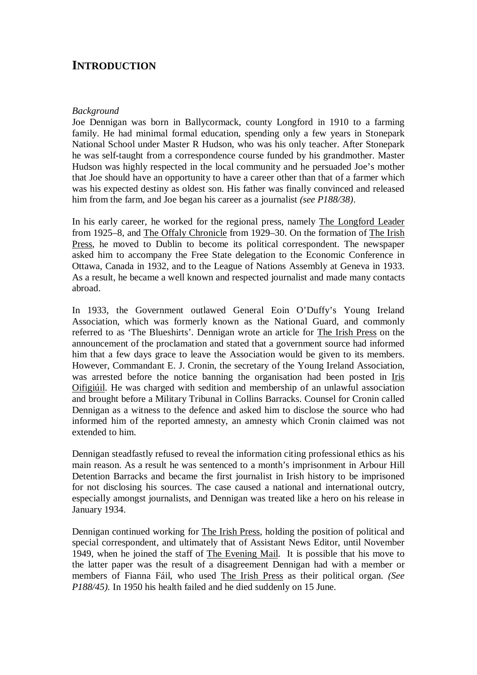# **INTRODUCTION**

#### *Background*

Joe Dennigan was born in Ballycormack, county Longford in 1910 to a farming family. He had minimal formal education, spending only a few years in Stonepark National School under Master R Hudson, who was his only teacher. After Stonepark he was self-taught from a correspondence course funded by his grandmother. Master Hudson was highly respected in the local community and he persuaded Joe's mother that Joe should have an opportunity to have a career other than that of a farmer which was his expected destiny as oldest son. His father was finally convinced and released him from the farm, and Joe began his career as a journalist *(see P188/38)*.

In his early career, he worked for the regional press, namely The Longford Leader from 1925–8, and The Offaly Chronicle from 1929–30. On the formation of The Irish Press, he moved to Dublin to become its political correspondent. The newspaper asked him to accompany the Free State delegation to the Economic Conference in Ottawa, Canada in 1932, and to the League of Nations Assembly at Geneva in 1933. As a result, he became a well known and respected journalist and made many contacts abroad.

In 1933, the Government outlawed General Eoin O'Duffy's Young Ireland Association, which was formerly known as the National Guard, and commonly referred to as 'The Blueshirts'. Dennigan wrote an article for The Irish Press on the announcement of the proclamation and stated that a government source had informed him that a few days grace to leave the Association would be given to its members. However, Commandant E. J. Cronin, the secretary of the Young Ireland Association, was arrested before the notice banning the organisation had been posted in Iris Oifigiúil. He was charged with sedition and membership of an unlawful association and brought before a Military Tribunal in Collins Barracks. Counsel for Cronin called Dennigan as a witness to the defence and asked him to disclose the source who had informed him of the reported amnesty, an amnesty which Cronin claimed was not extended to him.

Dennigan steadfastly refused to reveal the information citing professional ethics as his main reason. As a result he was sentenced to a month's imprisonment in Arbour Hill Detention Barracks and became the first journalist in Irish history to be imprisoned for not disclosing his sources. The case caused a national and international outcry, especially amongst journalists, and Dennigan was treated like a hero on his release in January 1934.

Dennigan continued working for The Irish Press, holding the position of political and special correspondent, and ultimately that of Assistant News Editor, until November 1949, when he joined the staff of The Evening Mail. It is possible that his move to the latter paper was the result of a disagreement Dennigan had with a member or members of Fianna Fáil, who used The Irish Press as their political organ. *(See P188/45).* In 1950 his health failed and he died suddenly on 15 June.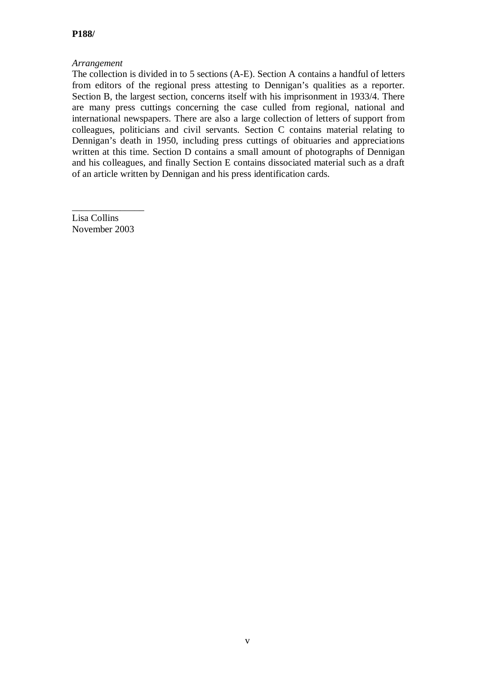#### *Arrangement*

The collection is divided in to 5 sections (A-E). Section A contains a handful of letters from editors of the regional press attesting to Dennigan's qualities as a reporter. Section B, the largest section, concerns itself with his imprisonment in 1933/4. There are many press cuttings concerning the case culled from regional, national and international newspapers. There are also a large collection of letters of support from colleagues, politicians and civil servants. Section C contains material relating to Dennigan's death in 1950, including press cuttings of obituaries and appreciations written at this time. Section D contains a small amount of photographs of Dennigan and his colleagues, and finally Section E contains dissociated material such as a draft of an article written by Dennigan and his press identification cards.

\_\_\_\_\_\_\_\_\_\_\_\_\_\_\_ Lisa Collins November 2003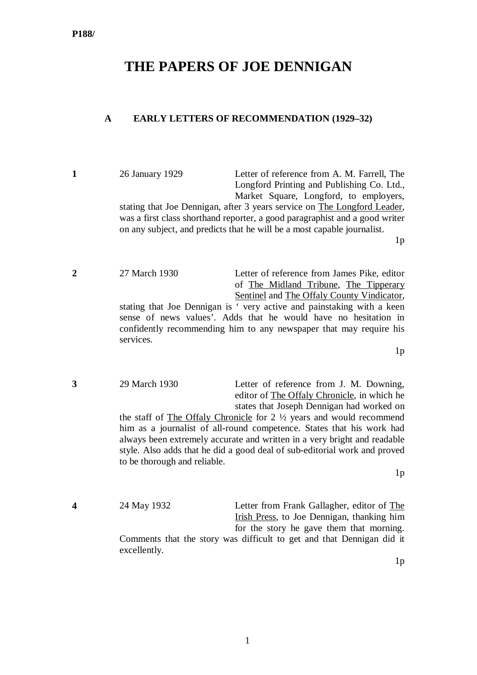# **THE PAPERS OF JOE DENNIGAN**

### **A EARLY LETTERS OF RECOMMENDATION (1929–32)**

**1** 26 January 1929 Letter of reference from A. M. Farrell, The Longford Printing and Publishing Co. Ltd., Market Square, Longford, to employers, stating that Joe Dennigan, after 3 years service on The Longford Leader, was a first class shorthand reporter, a good paragraphist and a good writer on any subject, and predicts that he will be a most capable journalist.

 $1<sub>p</sub>$ 

**2** 27 March 1930 Letter of reference from James Pike, editor of The Midland Tribune, The Tipperary Sentinel and The Offaly County Vindicator, stating that Joe Dennigan is ' very active and painstaking with a keen sense of news values'. Adds that he would have no hesitation in confidently recommending him to any newspaper that may require his services.

 $1<sub>p</sub>$ 

**3** 29 March 1930 Letter of reference from J. M. Downing, editor of The Offaly Chronicle, in which he states that Joseph Dennigan had worked on the staff of The Offaly Chronicle for 2 ½ years and would recommend him as a journalist of all-round competence. States that his work had always been extremely accurate and written in a very bright and readable style. Also adds that he did a good deal of sub-editorial work and proved to be thorough and reliable.  $1<sub>p</sub>$ 

**4** 24 May 1932 Letter from Frank Gallagher, editor of The Irish Press, to Joe Dennigan, thanking him for the story he gave them that morning. Comments that the story was difficult to get and that Dennigan did it excellently.

 $1<sub>p</sub>$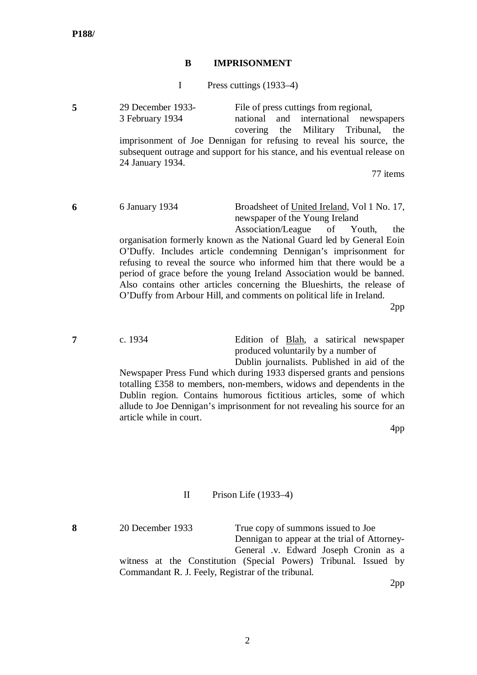#### **B IMPRISONMENT**

I Press cuttings (1933–4)

**5** 29 December 1933-<br> **5** 29 Pecember 1933-<br> **5** February 1934 **File of press cuttings from regional,** 3 February 1934 covering the Military Tribunal, the imprisonment of Joe Dennigan for refusing to reveal his source, the subsequent outrage and support for his stance, and his eventual release on 24 January 1934.

77 items

**6** 6 January 1934 Broadsheet of United Ireland, Vol 1 No. 17, newspaper of the Young Ireland Association/League of Youth, the

organisation formerly known as the National Guard led by General Eoin O'Duffy. Includes article condemning Dennigan's imprisonment for refusing to reveal the source who informed him that there would be a period of grace before the young Ireland Association would be banned. Also contains other articles concerning the Blueshirts, the release of O'Duffy from Arbour Hill, and comments on political life in Ireland.

2pp

**7** c. 1934 Edition of Blah, a satirical newspaper produced voluntarily by a number of

> Dublin journalists. Published in aid of the Newspaper Press Fund which during 1933 dispersed grants and pensions totalling £358 to members, non-members, widows and dependents in the Dublin region. Contains humorous fictitious articles, some of which allude to Joe Dennigan's imprisonment for not revealing his source for an article while in court.

> > 4pp

#### II Prison Life (1933–4)

**8** 20 December 1933 True copy of summons issued to Joe Dennigan to appear at the trial of Attorney-General .v. Edward Joseph Cronin as a witness at the Constitution (Special Powers) Tribunal. Issued by Commandant R. J. Feely, Registrar of the tribunal.

2pp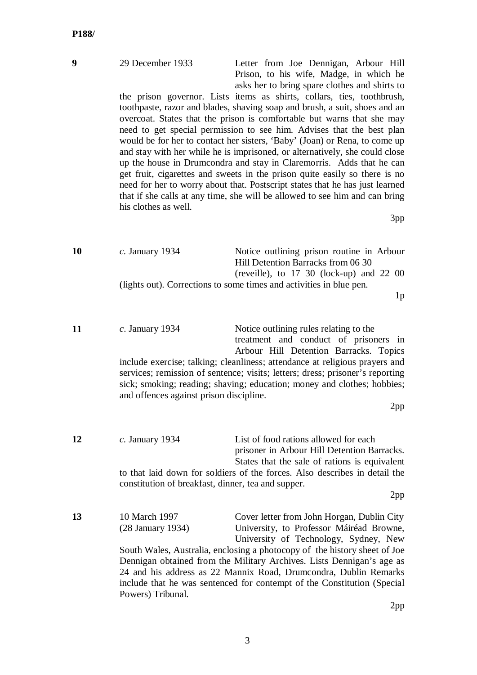| 9  | 29 December 1933<br>his clothes as well.                     | Letter from Joe Dennigan, Arbour Hill<br>Prison, to his wife, Madge, in which he<br>asks her to bring spare clothes and shirts to<br>the prison governor. Lists items as shirts, collars, ties, toothbrush,<br>toothpaste, razor and blades, shaving soap and brush, a suit, shoes and an<br>overcoat. States that the prison is comfortable but warns that she may<br>need to get special permission to see him. Advises that the best plan<br>would be for her to contact her sisters, 'Baby' (Joan) or Rena, to come up<br>and stay with her while he is imprisoned, or alternatively, she could close<br>up the house in Drumcondra and stay in Claremorris. Adds that he can<br>get fruit, cigarettes and sweets in the prison quite easily so there is no<br>need for her to worry about that. Postscript states that he has just learned<br>that if she calls at any time, she will be allowed to see him and can bring<br>3pp |
|----|--------------------------------------------------------------|---------------------------------------------------------------------------------------------------------------------------------------------------------------------------------------------------------------------------------------------------------------------------------------------------------------------------------------------------------------------------------------------------------------------------------------------------------------------------------------------------------------------------------------------------------------------------------------------------------------------------------------------------------------------------------------------------------------------------------------------------------------------------------------------------------------------------------------------------------------------------------------------------------------------------------------|
| 10 | $c.$ January 1934                                            | Notice outlining prison routine in Arbour<br>Hill Detention Barracks from 06 30<br>(reveille), to $17\,30$ (lock-up) and $22\,00$<br>(lights out). Corrections to some times and activities in blue pen.<br>1 <sub>p</sub>                                                                                                                                                                                                                                                                                                                                                                                                                                                                                                                                                                                                                                                                                                            |
| 11 | $c.$ January 1934<br>and offences against prison discipline. | Notice outlining rules relating to the<br>treatment and conduct of prisoners in<br>Arbour Hill Detention Barracks. Topics<br>include exercise; talking; cleanliness; attendance at religious prayers and<br>services; remission of sentence; visits; letters; dress; prisoner's reporting<br>sick; smoking; reading; shaving; education; money and clothes; hobbies;<br>2pp                                                                                                                                                                                                                                                                                                                                                                                                                                                                                                                                                           |
| 12 | $c.$ January 1934                                            | List of food rations allowed for each<br>prisoner in Arbour Hill Detention Barracks.<br>States that the sale of rations is equivalent                                                                                                                                                                                                                                                                                                                                                                                                                                                                                                                                                                                                                                                                                                                                                                                                 |

to that laid down for soldiers of the forces. Also describes in detail the constitution of breakfast, dinner, tea and supper.

2pp

13 10 March 1997 Cover letter from John Horgan, Dublin City<br>
(28 January 1934) University, to Professor Máiréad Browne, University, to Professor Máiréad Browne, University of Technology, Sydney, New South Wales, Australia, enclosing a photocopy of the history sheet of Joe

Dennigan obtained from the Military Archives. Lists Dennigan's age as 24 and his address as 22 Mannix Road, Drumcondra, Dublin Remarks include that he was sentenced for contempt of the Constitution (Special Powers) Tribunal.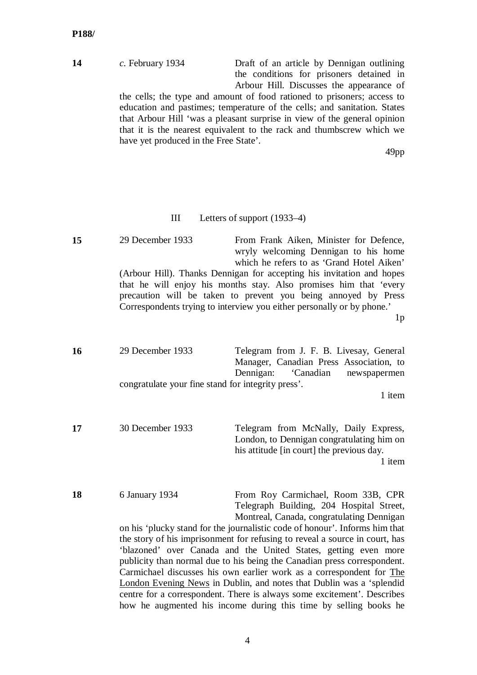**14** *c.* February 1934 Draft of an article by Dennigan outlining the conditions for prisoners detained in Arbour Hill. Discusses the appearance of

the cells; the type and amount of food rationed to prisoners; access to education and pastimes; temperature of the cells; and sanitation. States that Arbour Hill 'was a pleasant surprise in view of the general opinion that it is the nearest equivalent to the rack and thumbscrew which we have yet produced in the Free State'.

49pp

#### III Letters of support (1933–4)

**15** 29 December 1933 From Frank Aiken, Minister for Defence, wryly welcoming Dennigan to his home which he refers to as 'Grand Hotel Aiken' (Arbour Hill). Thanks Dennigan for accepting his invitation and hopes that he will enjoy his months stay. Also promises him that 'every precaution will be taken to prevent you being annoyed by Press Correspondents trying to interview you either personally or by phone.'

1p

**16** 29 December 1933 Telegram from J. F. B. Livesay, General Manager, Canadian Press Association, to Dennigan: 'Canadian newspapermen congratulate your fine stand for integrity press'.

1 item

**17** 30 December 1933 Telegram from McNally, Daily Express, London, to Dennigan congratulating him on his attitude [in court] the previous day. 1 item

**18** 6 January 1934 From Roy Carmichael, Room 33B, CPR Telegraph Building, 204 Hospital Street, Montreal, Canada, congratulating Dennigan

> on his 'plucky stand for the journalistic code of honour'. Informs him that the story of his imprisonment for refusing to reveal a source in court, has 'blazoned' over Canada and the United States, getting even more publicity than normal due to his being the Canadian press correspondent. Carmichael discusses his own earlier work as a correspondent for The London Evening News in Dublin, and notes that Dublin was a 'splendid centre for a correspondent. There is always some excitement'. Describes how he augmented his income during this time by selling books he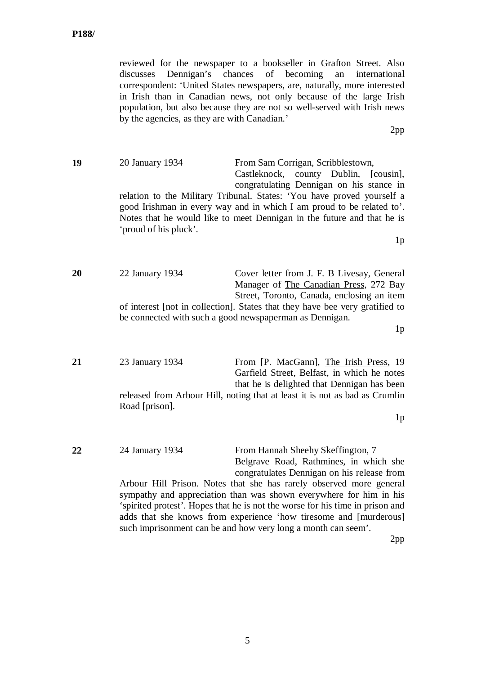reviewed for the newspaper to a bookseller in Grafton Street. Also discusses Dennigan's chances of becoming an international correspondent: 'United States newspapers, are, naturally, more interested in Irish than in Canadian news, not only because of the large Irish population, but also because they are not so well-served with Irish news by the agencies, as they are with Canadian.'

2pp

**19** 20 January 1934 From Sam Corrigan, Scribblestown, Castleknock, county Dublin, [cousin], congratulating Dennigan on his stance in relation to the Military Tribunal. States: 'You have proved yourself a good Irishman in every way and in which I am proud to be related to'. Notes that he would like to meet Dennigan in the future and that he is 'proud of his pluck'.  $1<sub>p</sub>$ 

**20** 22 January 1934 Cover letter from J. F. B Livesay, General Manager of The Canadian Press, 272 Bay Street, Toronto, Canada, enclosing an item of interest [not in collection]. States that they have bee very gratified to be connected with such a good newspaperman as Dennigan.

 $1<sub>p</sub>$ 

**21** 23 January 1934 From [P. MacGann], The Irish Press, 19 Garfield Street, Belfast, in which he notes that he is delighted that Dennigan has been released from Arbour Hill, noting that at least it is not as bad as Crumlin Road [prison].  $1<sub>p</sub>$ 22 24 January 1934 From Hannah Sheehy Skeffington, 7 Belgrave Road, Rathmines, in which she congratulates Dennigan on his release from Arbour Hill Prison. Notes that she has rarely observed more general

sympathy and appreciation than was shown everywhere for him in his 'spirited protest'. Hopes that he is not the worse for his time in prison and adds that she knows from experience 'how tiresome and [murderous] such imprisonment can be and how very long a month can seem'.

2pp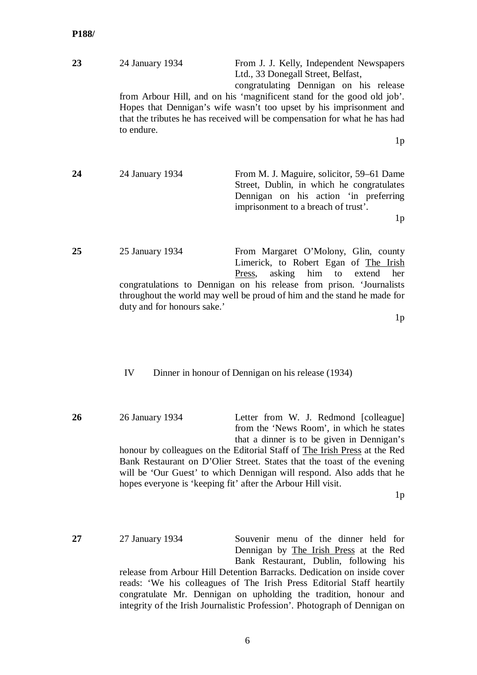| 23 | 24 January 1934<br>to endure.                  | From J. J. Kelly, Independent Newspapers<br>Ltd., 33 Donegall Street, Belfast,<br>congratulating Dennigan on his release<br>from Arbour Hill, and on his 'magnificent stand for the good old job'.<br>Hopes that Dennigan's wife wasn't too upset by his imprisonment and<br>that the tributes he has received will be compensation for what he has had<br>1 <sub>p</sub> |
|----|------------------------------------------------|---------------------------------------------------------------------------------------------------------------------------------------------------------------------------------------------------------------------------------------------------------------------------------------------------------------------------------------------------------------------------|
| 24 | 24 January 1934                                | From M. J. Maguire, solicitor, 59–61 Dame<br>Street, Dublin, in which he congratulates<br>Dennigan on his action 'in preferring<br>imprisonment to a breach of trust'.<br>1 <sub>p</sub>                                                                                                                                                                                  |
| 25 | 25 January 1934<br>duty and for honours sake.' | From Margaret O'Molony, Glin, county<br>Limerick, to Robert Egan of The Irish<br>asking him to extend<br>her<br>Press,<br>congratulations to Dennigan on his release from prison. 'Journalists<br>throughout the world may well be proud of him and the stand he made for<br>1n                                                                                           |

1p

#### IV Dinner in honour of Dennigan on his release (1934)

**26** 26 January 1934 Letter from W. J. Redmond [colleague] from the 'News Room', in which he states that a dinner is to be given in Dennigan's honour by colleagues on the Editorial Staff of The Irish Press at the Red Bank Restaurant on D'Olier Street. States that the toast of the evening will be 'Our Guest' to which Dennigan will respond. Also adds that he hopes everyone is 'keeping fit' after the Arbour Hill visit.

1p

**27** 27 January 1934 Souvenir menu of the dinner held for Dennigan by The Irish Press at the Red Bank Restaurant, Dublin, following his release from Arbour Hill Detention Barracks. Dedication on inside cover reads: 'We his colleagues of The Irish Press Editorial Staff heartily congratulate Mr. Dennigan on upholding the tradition, honour and integrity of the Irish Journalistic Profession'. Photograph of Dennigan on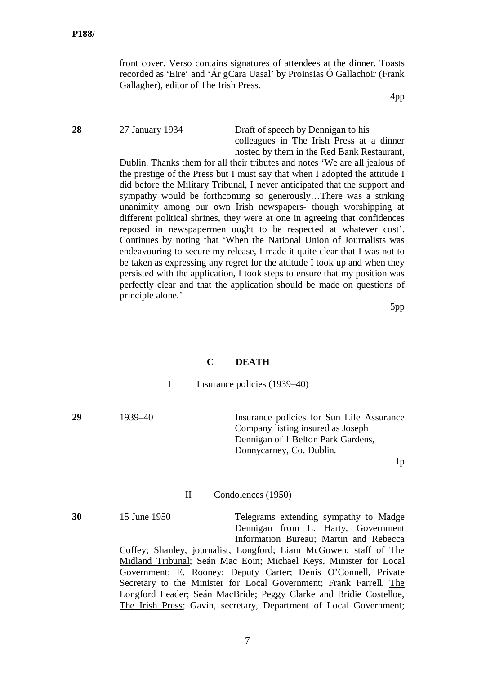front cover. Verso contains signatures of attendees at the dinner. Toasts recorded as 'Eire' and 'Ár gCara Uasal' by Proinsias Ó Gallachoir (Frank Gallagher), editor of The Irish Press.

4pp

**28** 27 January 1934 Draft of speech by Dennigan to his colleagues in The Irish Press at a dinner hosted by them in the Red Bank Restaurant,

> Dublin. Thanks them for all their tributes and notes 'We are all jealous of the prestige of the Press but I must say that when I adopted the attitude I did before the Military Tribunal, I never anticipated that the support and sympathy would be forthcoming so generously…There was a striking unanimity among our own Irish newspapers- though worshipping at different political shrines, they were at one in agreeing that confidences reposed in newspapermen ought to be respected at whatever cost'. Continues by noting that 'When the National Union of Journalists was endeavouring to secure my release, I made it quite clear that I was not to be taken as expressing any regret for the attitude I took up and when they persisted with the application, I took steps to ensure that my position was perfectly clear and that the application should be made on questions of principle alone.'

> > 5pp

#### **C DEATH**

| Insurance policies (1939–40) |  |
|------------------------------|--|
|------------------------------|--|

**29** 1939–40 Insurance policies for Sun Life Assurance Company listing insured as Joseph Dennigan of 1 Belton Park Gardens, Donnycarney, Co. Dublin.

 $1<sub>p</sub>$ 

#### II Condolences (1950)

**30** 15 June 1950 Telegrams extending sympathy to Madge

Dennigan from L. Harty, Government Information Bureau; Martin and Rebecca Coffey; Shanley, journalist, Longford; Liam McGowen; staff of The Midland Tribunal; Seán Mac Eoin; Michael Keys, Minister for Local Government; E. Rooney; Deputy Carter; Denis O'Connell, Private Secretary to the Minister for Local Government; Frank Farrell, The Longford Leader; Seán MacBride; Peggy Clarke and Bridie Costelloe, The Irish Press; Gavin, secretary, Department of Local Government;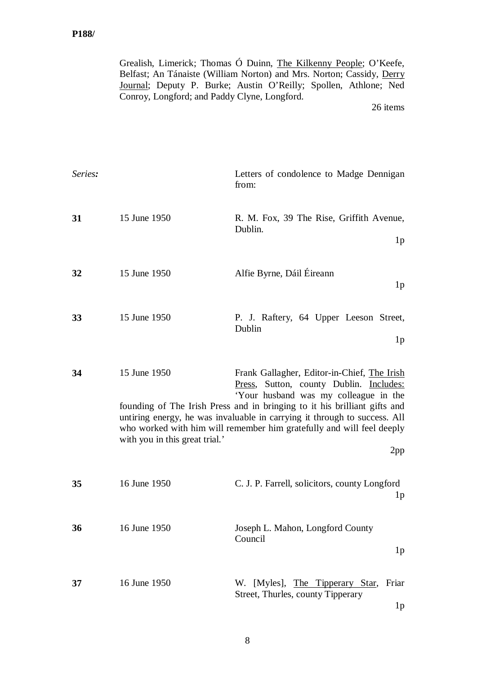Grealish, Limerick; Thomas Ó Duinn, The Kilkenny People; O'Keefe, Belfast; An Tánaiste (William Norton) and Mrs. Norton; Cassidy, Derry Journal; Deputy P. Burke; Austin O'Reilly; Spollen, Athlone; Ned Conroy, Longford; and Paddy Clyne, Longford.

| Series: |                                                | Letters of condolence to Madge Dennigan<br>from:                                                                                                                                                                                                                                                                                                                          |
|---------|------------------------------------------------|---------------------------------------------------------------------------------------------------------------------------------------------------------------------------------------------------------------------------------------------------------------------------------------------------------------------------------------------------------------------------|
| 31      | 15 June 1950                                   | R. M. Fox, 39 The Rise, Griffith Avenue,<br>Dublin.<br>1 <sub>p</sub>                                                                                                                                                                                                                                                                                                     |
| 32      | 15 June 1950                                   | Alfie Byrne, Dáil Éireann<br>1 <sub>p</sub>                                                                                                                                                                                                                                                                                                                               |
| 33      | 15 June 1950                                   | P. J. Raftery, 64 Upper Leeson Street,<br>Dublin<br>1 <sub>p</sub>                                                                                                                                                                                                                                                                                                        |
| 34      | 15 June 1950<br>with you in this great trial.' | Frank Gallagher, Editor-in-Chief, The Irish<br>Press, Sutton, county Dublin. Includes:<br>'Your husband was my colleague in the<br>founding of The Irish Press and in bringing to it his brilliant gifts and<br>untiring energy, he was invaluable in carrying it through to success. All<br>who worked with him will remember him gratefully and will feel deeply<br>2pp |
| 35      | 16 June 1950                                   | C. J. P. Farrell, solicitors, county Longford<br>1 <sub>p</sub>                                                                                                                                                                                                                                                                                                           |
| 36      | 16 June 1950                                   | Joseph L. Mahon, Longford County<br>Council<br>1 <sub>p</sub>                                                                                                                                                                                                                                                                                                             |
| 37      | 16 June 1950                                   | W. [Myles], The Tipperary Star,<br>Friar<br>Street, Thurles, county Tipperary<br>1 <sub>p</sub>                                                                                                                                                                                                                                                                           |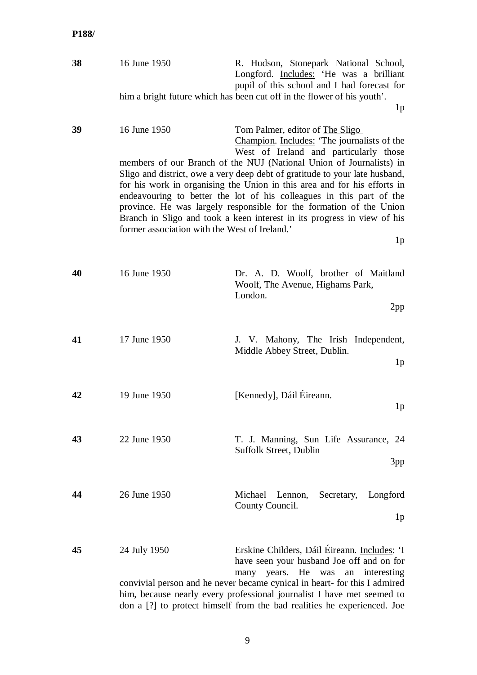| 38 | 16 June 1950                                                  | R. Hudson, Stonepark National School,<br>Longford. Includes: 'He was a brilliant<br>pupil of this school and I had forecast for                                                                                                                                                                                                                                                                                                                                                                                                                                                                        |
|----|---------------------------------------------------------------|--------------------------------------------------------------------------------------------------------------------------------------------------------------------------------------------------------------------------------------------------------------------------------------------------------------------------------------------------------------------------------------------------------------------------------------------------------------------------------------------------------------------------------------------------------------------------------------------------------|
|    |                                                               | him a bright future which has been cut off in the flower of his youth'.<br>1 <sub>p</sub>                                                                                                                                                                                                                                                                                                                                                                                                                                                                                                              |
| 39 | 16 June 1950<br>former association with the West of Ireland.' | Tom Palmer, editor of The Sligo<br>Champion. Includes: 'The journalists of the<br>West of Ireland and particularly those<br>members of our Branch of the NUJ (National Union of Journalists) in<br>Sligo and district, owe a very deep debt of gratitude to your late husband,<br>for his work in organising the Union in this area and for his efforts in<br>endeavouring to better the lot of his colleagues in this part of the<br>province. He was largely responsible for the formation of the Union<br>Branch in Sligo and took a keen interest in its progress in view of his<br>1 <sub>p</sub> |
| 40 | 16 June 1950                                                  | Dr. A. D. Woolf, brother of Maitland<br>Woolf, The Avenue, Highams Park,<br>London.<br>2pp                                                                                                                                                                                                                                                                                                                                                                                                                                                                                                             |
| 41 | 17 June 1950                                                  | J. V. Mahony, The Irish Independent,<br>Middle Abbey Street, Dublin.<br>1 <sub>p</sub>                                                                                                                                                                                                                                                                                                                                                                                                                                                                                                                 |
| 42 | 19 June 1950                                                  | [Kennedy], Dáil Éireann.<br>1 <sub>p</sub>                                                                                                                                                                                                                                                                                                                                                                                                                                                                                                                                                             |
| 43 | 22 June 1950                                                  | T. J. Manning, Sun Life Assurance, 24<br><b>Suffolk Street, Dublin</b><br>3pp                                                                                                                                                                                                                                                                                                                                                                                                                                                                                                                          |
| 44 | 26 June 1950                                                  | Michael<br>Lennon,<br>Secretary,<br>Longford<br>County Council.<br>1 <sub>p</sub>                                                                                                                                                                                                                                                                                                                                                                                                                                                                                                                      |
| 45 | 24 July 1950                                                  | Erskine Childers, Dáil Éireann. Includes: 'I<br>have seen your husband Joe off and on for<br>years. He<br>was<br>an<br>interesting<br>many<br>convivial person and he never became cynical in heart- for this I admired<br>him, because nearly every professional journalist I have met seemed to<br>don a [?] to protect himself from the bad realities he experienced. Joe                                                                                                                                                                                                                           |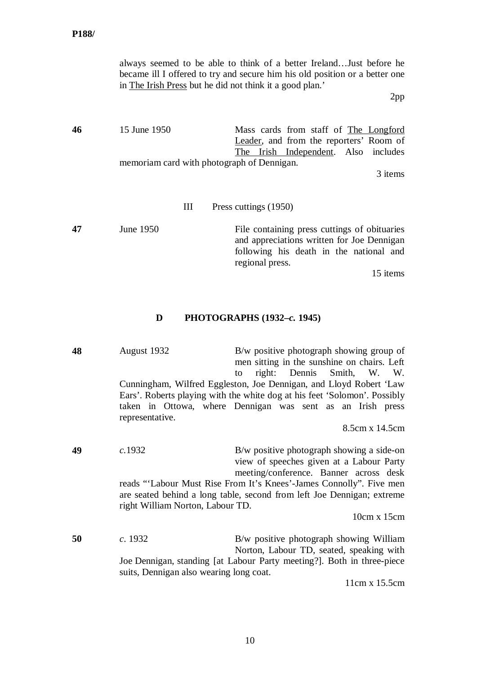|    | in The Irish Press but he did not think it a good plan.'   | always seemed to be able to think of a better Ireland Just before he<br>became ill I offered to try and secure him his old position or a better one<br>2pp           |
|----|------------------------------------------------------------|----------------------------------------------------------------------------------------------------------------------------------------------------------------------|
| 46 | 15 June 1950<br>memoriam card with photograph of Dennigan. | Mass cards from staff of The Longford<br>Leader, and from the reporters' Room of<br>The Irish Independent. Also includes<br>3 items                                  |
|    | III                                                        | Press cuttings (1950)                                                                                                                                                |
| 47 | June 1950                                                  | File containing press cuttings of obituaries<br>and appreciations written for Joe Dennigan<br>following his death in the national and<br>regional press.<br>15 items |
|    | D                                                          | PHOTOGRAPHS (1932–c. 1945)                                                                                                                                           |
| 48 | August 1932                                                | $B/w$ positive photograph showing group of                                                                                                                           |

men sitting in the sunshine on chairs. Left to right: Dennis Smith, W. W. Cunningham, Wilfred Eggleston, Joe Dennigan, and Lloyd Robert 'Law Ears'. Roberts playing with the white dog at his feet 'Solomon'. Possibly taken in Ottowa, where Dennigan was sent as an Irish press representative.

8.5cm x 14.5cm

**49** *c.*1932 B/w positive photograph showing a side-on view of speeches given at a Labour Party meeting/conference. Banner across desk reads "'Labour Must Rise From It's Knees'-James Connolly". Five men are seated behind a long table, second from left Joe Dennigan; extreme right William Norton, Labour TD.

10cm x 15cm

**50** *c*. 1932 B/w positive photograph showing William Norton, Labour TD, seated, speaking with Joe Dennigan, standing [at Labour Party meeting?]. Both in three-piece suits, Dennigan also wearing long coat.

11cm x 15.5cm